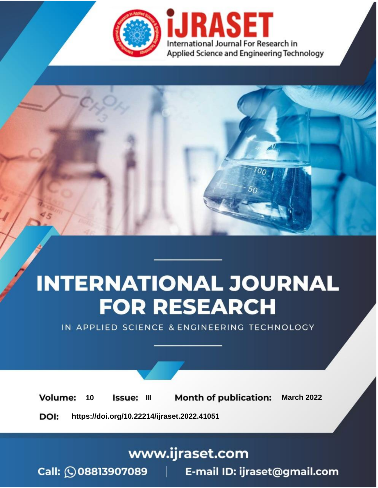

# **INTERNATIONAL JOURNAL FOR RESEARCH**

IN APPLIED SCIENCE & ENGINEERING TECHNOLOGY

10 **Issue: III Month of publication:** March 2022 **Volume:** 

**https://doi.org/10.22214/ijraset.2022.41051**DOI:

www.ijraset.com

Call: 008813907089 | E-mail ID: ijraset@gmail.com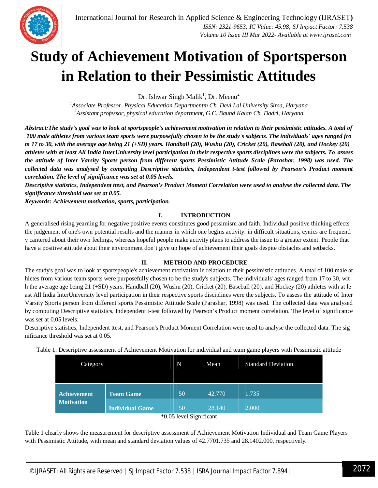

### **Study of Achievement Motivation of Sportsperson in Relation to their Pessimistic Attitudes**

Dr. Ishwar Singh Malik<sup>1</sup>, Dr. Meenu<sup>2</sup>

*<sup>1</sup>Associate Professor, Physical Education Departmentm Ch. Devi Lal University Sirsa, Haryana <sup>2</sup>Assistant professor, physical education department, G.C. Baund Kalan Ch. Dadri, Haryana*

Abstract: The study's goal was to look at sportspeople's achievement motivation in relation to their pessimistic attitudes. A total of 100 male athletes from various team sports were purposefully chosen to be the study's subjects. The individuals' ages ranged fro m 17 to 30, with the average age being  $2I$  (+SD) years. Handball (20), Wushu (20), Cricket (20), Baseball (20), and Hockey (20) athletes with at least All India InterUniversity level participation in their respective sports disciplines were the subjects. To assess *the attitude of Inter Varsity Sports person from different sports Pessimistic Attitude Scale (Parashar, 1998) was used. The collected data was analysed by computing Descriptive statistics, Independent t-test followed by Pearson's Product moment correlation. The level of significance was set at 0.05 levels.*

Descriptive statistics, Independent ttest, and Pearson's Product Moment Correlation were used to analyse the collected data. The *significance threshold was set at 0.05.*

*Keywords: Achievement motivation, sports, participation.*

#### **I. INTRODUCTION**

A generalised rising yearning for negative positive events constitutes good pessimism and faith. Individual positive thinking effects the judgement of one's own potential results and the manner in which one begins activity: in difficult situations, cynics are frequentl y cantered about their own feelings, whereas hopeful people make activity plans to address the issue to a greater extent. People that have a positive attitude about their environment don't give up hope of achievement their goals despite obstacles and setbacks.

#### **II. METHOD AND PROCEDURE**

The study's goal was to look at sportspeople's achievement motivation in relation to their pessimistic attitudes. A total of 100 male at hletes from various team sports were purposefully chosen to be the study's subjects. The individuals' ages ranged from 17 to 30, wit h the average age being 21 (+SD) years. Handball (20), Wushu (20), Cricket (20), Baseball (20), and Hockey (20) athletes with at le ast All India InterUniversity level participation in their respective sports disciplines were the subjects. To assess the attitude of Inter Varsity Sports person from different sports Pessimistic Attitude Scale (Parashar, 1998) was used. The collected data was analysed by computing Descriptive statistics, Independent t-test followed by Pearson's Product moment correlation. The level of significance was set at 0.05 levels.

Descriptive statistics, Independent ttest, and Pearson's Product Moment Correlation were used to analyse the collected data. The sig nificance threshold was set at 0.05.

| Category           | N                      | Mean | <b>Standard Deviation</b> |       |
|--------------------|------------------------|------|---------------------------|-------|
| <b>Achievement</b> | <b>Team Game</b>       | 50   | 42.770                    | 1.735 |
| <b>Motivation</b>  | <b>Individual Game</b> | 50   | 28.140                    | 2.000 |

<sup>\*0.05</sup> level Significant

Table 1 clearly shows the measurement for descriptive assessment of Achievement Motivation Individual and Team Game Players with Pessimistic Attitude, with mean and standard deviation values of 42.7701.735 and 28.1402.000, respectively.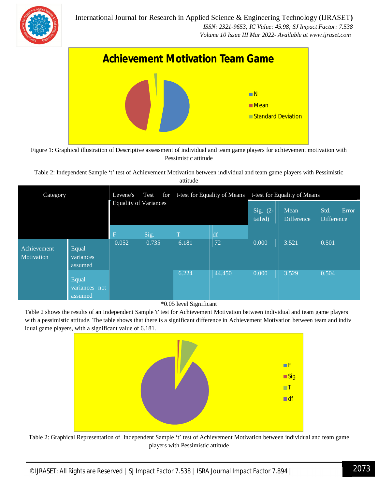



Figure 1: Graphical illustration of Descriptive assessment of individual and team game players for achievement motivation with Pessimistic attitude

Table 2: Independent Sample 't' test of Achievement Motivation between individual and team game players with Pessimistic

| Category                  |                                   | Levene's<br>Test<br>for<br>Equality of Variances |       | t-test for Equality of Means |        | t-test for Equality of Means |                           |                             |
|---------------------------|-----------------------------------|--------------------------------------------------|-------|------------------------------|--------|------------------------------|---------------------------|-----------------------------|
|                           |                                   |                                                  |       |                              |        | Sig. $(2-$<br>tailed)        | Mean<br><b>Difference</b> | Error<br>Std.<br>Difference |
|                           |                                   | $\mathbf F$                                      | Sig.  | m.                           | df     |                              |                           |                             |
| Achievement<br>Motivation | Equal<br>variances<br>assumed     | 0.052                                            | 0.735 | 6.181                        | 72     | 0.000                        | 3.521                     | 0.501                       |
|                           | Equal<br>variances not<br>assumed |                                                  |       | 6.224                        | 44.450 | 0.000                        | 3.529                     | 0.504                       |

#### \*0.05 level Significant

Table 2 shows the results of an Independent Sample 't' test for Achievement Motivation between individual and team game players with a pessimistic attitude. The table shows that there is a significant difference in Achievement Motivation between team and indiv idual game players, with a significant value of 6.181.



Table 2: Graphical Representation of Independent Sample 't' test of Achievement Motivation between individual and team game players with Pessimistic attitude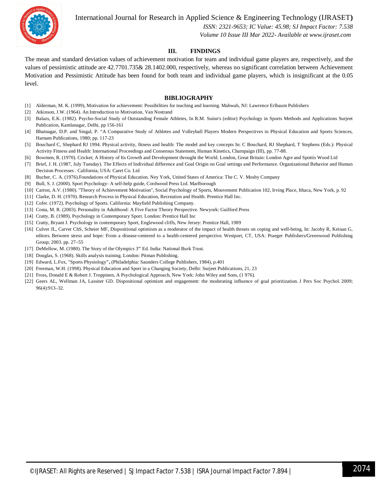

International Journal for Research in Applied Science & Engineering Technology (IJRASET**)**

 *ISSN: 2321-9653; IC Value: 45.98; SJ Impact Factor: 7.538 Volume 10 Issue III Mar 2022- Available at www.ijraset.com*

#### **III. FINDINGS**

The mean and standard deviation values of achievement motivation for team and individual game players are, respectively, and the values of pessimistic attitude are 42.7701.735& 28.1402.000, respectively, whereas no significant correlation between Achievement Motivation and Pessimistic Attitude has been found for both team and individual game players, which is insignificant at the 0.05 level.

#### **BIBLIOGRAPHY**

- [1] Alderman, M. K. (1999), Motivation for achievement: Possibilities for teaching and learning. Mahwah, NJ: Lawrence Erlbaum Publishers
- [2] Atkinson, J.W. (1964). An Introduction to Motivation, Van Nostrand
- [3] Balazs, E.K. (1982). Psycho-Social Study of Outstanding Female Athletes, In R.M. Suinn's (editor) Psychology in Sports Methods and Applications Surjeet Publication, Kamlanagar, Delhi, pp 156-161
- [4] Bhatnagar, D.P. and Singal, P. "A Comparative Study of Athletes and Volleyball Players Modern Perspectives in Physical Education and Sports Sciences, Harnam Publications, 1980; pp. 117-23
- [5] Bouchard C, Shephard RJ 1994. Physical activity, fitness and health: The model and key concepts In: C Bouchard, RJ Shephard, T Stephens (Eds.): Physical Activity Fitness and Health: International Proceedings and Consensus Statement, Human Kinetics, Champaign (III), pp. 77-88.
- [6] Bowmen, R. (1970). Cricket; A History of Its Growth and Development throught the World. London, Great Britain: London Agre and Spottis Wood Ltd
- [7] Brief, J. H. (1987, July Tuesday). The Effects of Individual difference and Goal Origin on Goal settings and Performance. Organizational Behavior and Human Decision Processes . California, USA: Caret Co. Ltd
- [8] Bucher, C. A. (1976).Foundations of Physical Education. Ney York, United States of America: The C. V. Mosby Company
- [9] Bull, S. J. (2000). Sport Psychology- A self-help guide, Cordwood Press Ltd. Marlborough
- [10] Carron, A.V. (1980). "Theory of Achievement Motivation", Social Psychology of Sports, Mouvement Publication 102, Irving Place, Ithaca, New York, p. 92
- [11] Clarke, D. H. (1970). Research Process in Physical Education, Recreation and Health. Prentice Hall Inc.
- [12] Cofer. (1972). Psychology of Sports. California: Mayfield Publishing Company.
- [13] Costa, M. R. (2003). Personality in Adulthood: A Five Factor Theory Perspective. Newyork: Guilford Press
- [14] Cratty, B. (1989). Psychology in Contemporary Sport. London: Prentice Hall Inc
- [15] Cratty, Bryant J. Psychology in contemporary Sport, Englewood cliffs, New Jersey: Prentice Hall, 1989
- [16] Culver JL, Carver ChS, Scheier MF, Dispositional optimism as a moderator of the impact of health threats on coping and well-being, In: Jacoby R, Keinan G, editors. Between stress and hope: From a disease-centered to a health-centered perspective. Westport, CT, USA: Praeger Publishers/Greenwood Publishing Group; 2003. pp. 27–55
- [17] DeMellow, M. (1980). The Story of the Olympics 3''' Ed. India: National Burk Trust.
- [18] Douglas, S. (1968). Skills analysis training. London: Pitman Publishing.
- [19] Edward, L.Fox, "Sports Physiology**",** (Philadelphia: Saunders College Publishers, 1984), p.401
- [20] Freeman, W.H. (1998). Physical Education and Sport in a Changing Society, Delhi: Surjeet Publications, 21, 23
- [21] Fross, Donald E & Robert J. Troppinen, A Psychological Approach, New York: John Wiley and Sons, (1 976).
- [22] Geers AL, Wellman JA, Lassiter GD. Dispositional optimism and engagement: the moderating influence of goal prioritization. J Pers Soc Psychol. 2009; 96(4):913–32.